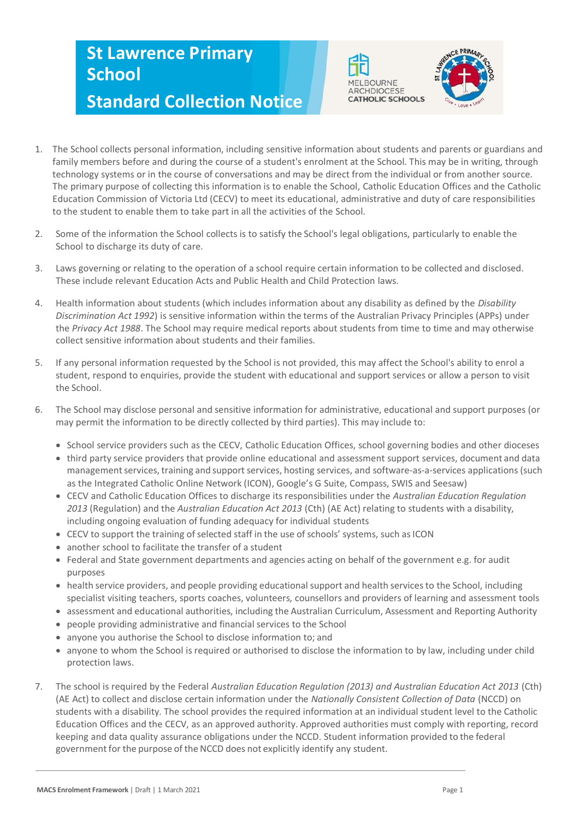## **St Lawrence Primary School Standard Collection Notice**





- 1. The School collects personal information, including sensitive information about students and parents or guardians and family members before and during the course of a student's enrolment at the School. This may be in writing, through technology systems or in the course of conversations and may be direct from the individual or from another source. The primary purpose of collecting this information is to enable the School, Catholic Education Offices and the Catholic Education Commission of Victoria Ltd (CECV) to meet its educational, administrative and duty of care responsibilities to the student to enable them to take part in all the activities of the School.
- 2. Some of the information the School collects is to satisfy the School's legal obligations, particularly to enable the School to discharge its duty of care.
- 3. Laws governing or relating to the operation of a school require certain information to be collected and disclosed. These include relevant Education Acts and Public Health and Child Protection laws.
- 4. Health information about students (which includes information about any disability as defined by the *Disability Discrimination Act 1992*) is sensitive information within the terms of the Australian Privacy Principles (APPs) under the *Privacy Act 1988*. The School may require medical reports about students from time to time and may otherwise collect sensitive information about students and their families.
- 5. If any personal information requested by the School is not provided, this may affect the School's ability to enrol a student, respond to enquiries, provide the student with educational and support services or allow a person to visit the School.
- 6. The School may disclose personal and sensitive information for administrative, educational and support purposes (or may permit the information to be directly collected by third parties). This may include to:
	- School service providers such as the CECV, Catholic Education Offices, school governing bodies and other dioceses
	- third party service providers that provide online educational and assessment support services, document and data management services, training and support services, hosting services, and software-as-a-services applications (such as the Integrated Catholic Online Network (ICON), Google's G Suite, Compass, SWIS and Seesaw)
	- CECV and Catholic Education Offices to discharge its responsibilities under the *Australian Education Regulation 2013* (Regulation) and the *Australian Education Act 2013* (Cth) (AE Act) relating to students with a disability, including ongoing evaluation of funding adequacy for individual students
	- CECV to support the training of selected staff in the use of schools' systems, such as ICON
	- another school to facilitate the transfer of a student
	- Federal and State government departments and agencies acting on behalf of the government e.g. for audit purposes
	- health service providers, and people providing educational support and health services to the School, including specialist visiting teachers, sports coaches, volunteers, counsellors and providers of learning and assessment tools
	- assessment and educational authorities, including the Australian Curriculum, Assessment and Reporting Authority
	- people providing administrative and financial services to the School
	- anyone you authorise the School to disclose information to; and
	- anyone to whom the School is required or authorised to disclose the information to by law, including under child protection laws.
- 7. The school is required by the Federal *Australian Education Regulation (2013) and Australian Education Act 2013* (Cth) (AE Act) to collect and disclose certain information under the *Nationally Consistent Collection of Data* (NCCD) on students with a disability. The school provides the required information at an individual student level to the Catholic Education Offices and the CECV, as an approved authority. Approved authorities must comply with reporting, record keeping and data quality assurance obligations under the NCCD. Student information provided to the federal government for the purpose of the NCCD does not explicitly identify any student.